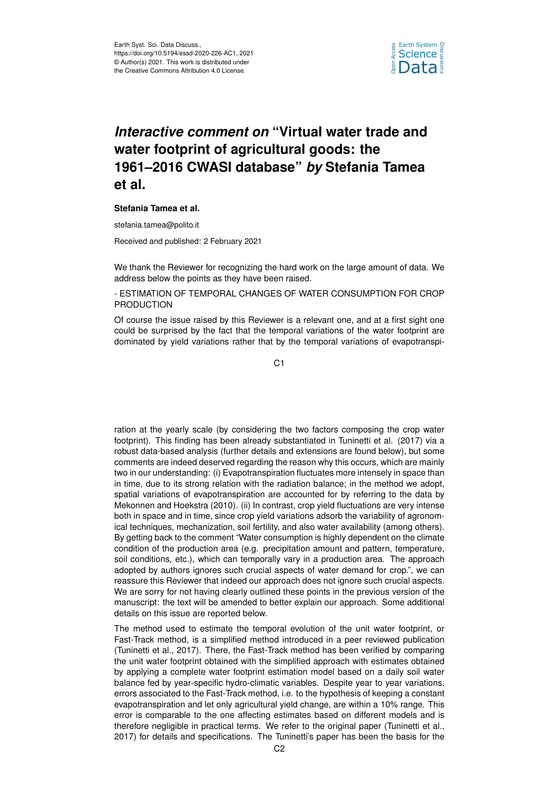

# *Interactive comment on* **"Virtual water trade and water footprint of agricultural goods: the 1961–2016 CWASI database"** *by* **Stefania Tamea et al.**

#### **Stefania Tamea et al.**

stefania.tamea@polito.it

Received and published: 2 February 2021

We thank the Reviewer for recognizing the hard work on the large amount of data. We address below the points as they have been raised.

- ESTIMATION OF TEMPORAL CHANGES OF WATER CONSUMPTION FOR CROP PRODUCTION

Of course the issue raised by this Reviewer is a relevant one, and at a first sight one could be surprised by the fact that the temporal variations of the water footprint are dominated by yield variations rather that by the temporal variations of evapotranspi-

C1

ration at the yearly scale (by considering the two factors composing the crop water footprint). This finding has been already substantiated in Tuninetti et al. (2017) via a robust data-based analysis (further details and extensions are found below), but some comments are indeed deserved regarding the reason why this occurs, which are mainly two in our understanding: (i) Evapotranspiration fluctuates more intensely in space than in time, due to its strong relation with the radiation balance; in the method we adopt, spatial variations of evapotranspiration are accounted for by referring to the data by Mekonnen and Hoekstra (2010). (ii) In contrast, crop yield fluctuations are very intense both in space and in time, since crop yield variations adsorb the variability of agronomical techniques, mechanization, soil fertility, and also water availability (among others). By getting back to the comment "Water consumption is highly dependent on the climate condition of the production area (e.g. precipitation amount and pattern, temperature, soil conditions, etc.), which can temporally vary in a production area. The approach adopted by authors ignores such crucial aspects of water demand for crop.", we can reassure this Reviewer that indeed our approach does not ignore such crucial aspects. We are sorry for not having clearly outlined these points in the previous version of the manuscript: the text will be amended to better explain our approach. Some additional details on this issue are reported below.

The method used to estimate the temporal evolution of the unit water footprint, or Fast-Track method, is a simplified method introduced in a peer reviewed publication (Tuninetti et al., 2017). There, the Fast-Track method has been verified by comparing the unit water footprint obtained with the simplified approach with estimates obtained by applying a complete water footprint estimation model based on a daily soil water balance fed by year-specific hydro-climatic variables. Despite year to year variations, errors associated to the Fast-Track method, i.e. to the hypothesis of keeping a constant evapotranspiration and let only agricultural yield change, are within a 10% range. This error is comparable to the one affecting estimates based on different models and is therefore negligible in practical terms. We refer to the original paper (Tuninetti et al., 2017) for details and specifications. The Tuninetti's paper has been the basis for the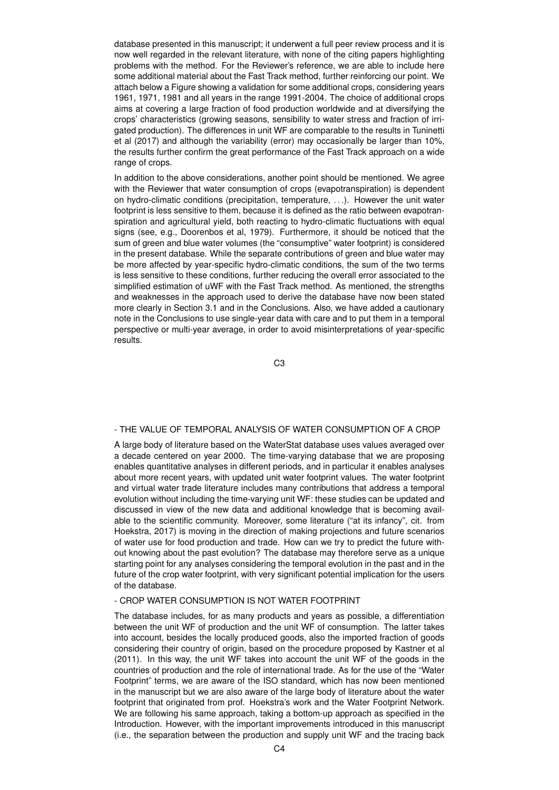database presented in this manuscript; it underwent a full peer review process and it is now well regarded in the relevant literature, with none of the citing papers highlighting problems with the method. For the Reviewer's reference, we are able to include here some additional material about the Fast Track method, further reinforcing our point. We attach below a Figure showing a validation for some additional crops, considering years 1961, 1971, 1981 and all years in the range 1991-2004. The choice of additional crops aims at covering a large fraction of food production worldwide and at diversifying the crops' characteristics (growing seasons, sensibility to water stress and fraction of irrigated production). The differences in unit WF are comparable to the results in Tuninetti et al (2017) and although the variability (error) may occasionally be larger than 10%, the results further confirm the great performance of the Fast Track approach on a wide range of crops.

In addition to the above considerations, another point should be mentioned. We agree with the Reviewer that water consumption of crops (evapotranspiration) is dependent on hydro-climatic conditions (precipitation, temperature, . . .). However the unit water footprint is less sensitive to them, because it is defined as the ratio between evapotranspiration and agricultural yield, both reacting to hydro-climatic fluctuations with equal signs (see, e.g., Doorenbos et al, 1979). Furthermore, it should be noticed that the sum of green and blue water volumes (the "consumptive" water footprint) is considered in the present database. While the separate contributions of green and blue water may be more affected by year-specific hydro-climatic conditions, the sum of the two terms is less sensitive to these conditions, further reducing the overall error associated to the simplified estimation of uWF with the Fast Track method. As mentioned, the strengths and weaknesses in the approach used to derive the database have now been stated more clearly in Section 3.1 and in the Conclusions. Also, we have added a cautionary note in the Conclusions to use single-year data with care and to put them in a temporal perspective or multi-year average, in order to avoid misinterpretations of year-specific results.

C3

# - THE VALUE OF TEMPORAL ANALYSIS OF WATER CONSUMPTION OF A CROP

A large body of literature based on the WaterStat database uses values averaged over a decade centered on year 2000. The time-varying database that we are proposing enables quantitative analyses in different periods, and in particular it enables analyses about more recent years, with updated unit water footprint values. The water footprint and virtual water trade literature includes many contributions that address a temporal evolution without including the time-varying unit WF: these studies can be updated and discussed in view of the new data and additional knowledge that is becoming available to the scientific community. Moreover, some literature ("at its infancy", cit. from Hoekstra, 2017) is moving in the direction of making projections and future scenarios of water use for food production and trade. How can we try to predict the future without knowing about the past evolution? The database may therefore serve as a unique starting point for any analyses considering the temporal evolution in the past and in the future of the crop water footprint, with very significant potential implication for the users of the database.

#### - CROP WATER CONSUMPTION IS NOT WATER FOOTPRINT

The database includes, for as many products and years as possible, a differentiation between the unit WF of production and the unit WF of consumption. The latter takes into account, besides the locally produced goods, also the imported fraction of goods considering their country of origin, based on the procedure proposed by Kastner et al (2011). In this way, the unit WF takes into account the unit WF of the goods in the countries of production and the role of international trade. As for the use of the "Water Footprint" terms, we are aware of the ISO standard, which has now been mentioned in the manuscript but we are also aware of the large body of literature about the water footprint that originated from prof. Hoekstra's work and the Water Footprint Network. We are following his same approach, taking a bottom-up approach as specified in the Introduction. However, with the important improvements introduced in this manuscript (i.e., the separation between the production and supply unit WF and the tracing back